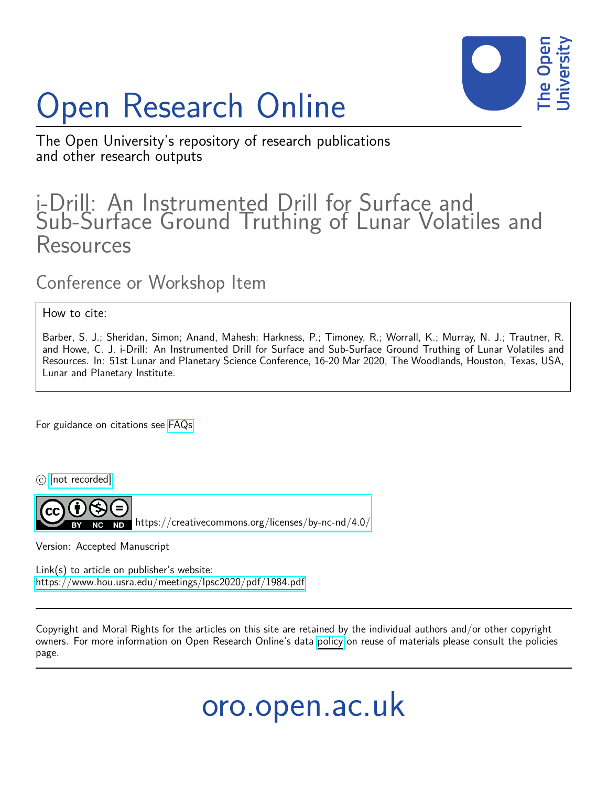## Open Research Online



## The Open University's repository of research publications and other research outputs

## i-Drill: An Instrumented Drill for Surface and Sub-Surface Ground Truthing of Lunar Volatiles and **Resources**

Conference or Workshop Item

How to cite:

Barber, S. J.; Sheridan, Simon; Anand, Mahesh; Harkness, P.; Timoney, R.; Worrall, K.; Murray, N. J.; Trautner, R. and Howe, C. J. i-Drill: An Instrumented Drill for Surface and Sub-Surface Ground Truthing of Lunar Volatiles and Resources. In: 51st Lunar and Planetary Science Conference, 16-20 Mar 2020, The Woodlands, Houston, Texas, USA, Lunar and Planetary Institute.

For guidance on citations see [FAQs.](http://oro.open.ac.uk/help/helpfaq.html)

 $\odot$  [\[not recorded\]](http://oro.open.ac.uk/help/helpfaq.html#Unrecorded_information_on_coversheet)



<https://creativecommons.org/licenses/by-nc-nd/4.0/>

Version: Accepted Manuscript

Link(s) to article on publisher's website: <https://www.hou.usra.edu/meetings/lpsc2020/pdf/1984.pdf>

Copyright and Moral Rights for the articles on this site are retained by the individual authors and/or other copyright owners. For more information on Open Research Online's data [policy](http://oro.open.ac.uk/policies.html) on reuse of materials please consult the policies page.

oro.open.ac.uk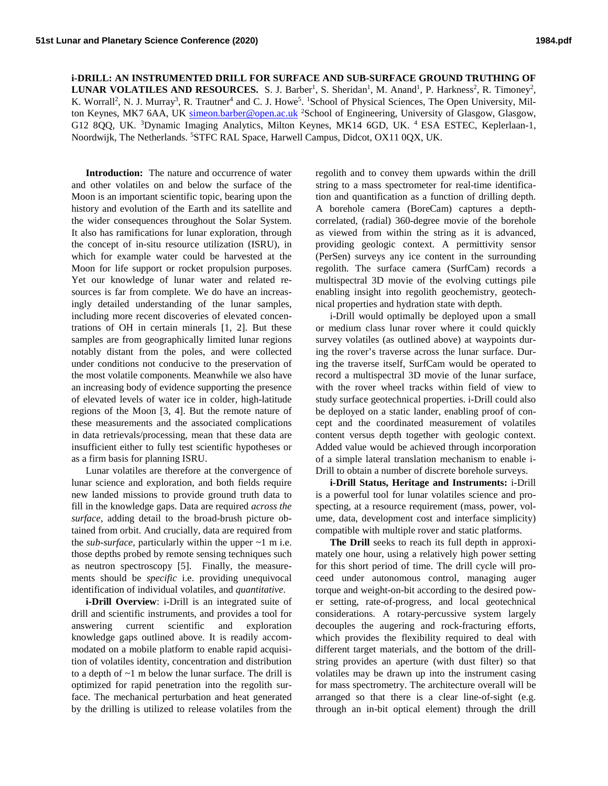**i-DRILL: AN INSTRUMENTED DRILL FOR SURFACE AND SUB-SURFACE GROUND TRUTHING OF LUNAR VOLATILES AND RESOURCES.** S. J. Barber<sup>1</sup>, S. Sheridan<sup>1</sup>, M. Anand<sup>1</sup>, P. Harkness<sup>2</sup>, R. Timoney<sup>2</sup>, K. Worrall<sup>2</sup>, N. J. Murray<sup>3</sup>, R. Trautner<sup>4</sup> and C. J. Howe<sup>5</sup>. <sup>1</sup>School of Physical Sciences, The Open University, Milton Keynes, MK7 6AA, UK [simeon.barber@open.ac.uk](mailto:simeon.barber@open.ac.uk) <sup>2</sup>School of Engineering, University of Glasgow, Glasgow, G12 8QQ, UK. <sup>3</sup>Dynamic Imaging Analytics, Milton Keynes, MK14 6GD, UK. <sup>4</sup> ESA ESTEC, Keplerlaan-1, Noordwijk, The Netherlands. <sup>5</sup>STFC RAL Space, Harwell Campus, Didcot, OX11 0QX, UK.

**Introduction:** The nature and occurrence of water and other volatiles on and below the surface of the Moon is an important scientific topic, bearing upon the history and evolution of the Earth and its satellite and the wider consequences throughout the Solar System. It also has ramifications for lunar exploration, through the concept of in-situ resource utilization (ISRU), in which for example water could be harvested at the Moon for life support or rocket propulsion purposes. Yet our knowledge of lunar water and related resources is far from complete. We do have an increasingly detailed understanding of the lunar samples, including more recent discoveries of elevated concentrations of OH in certain minerals [1, 2]. But these samples are from geographically limited lunar regions notably distant from the poles, and were collected under conditions not conducive to the preservation of the most volatile components. Meanwhile we also have an increasing body of evidence supporting the presence of elevated levels of water ice in colder, high-latitude regions of the Moon [3, 4]. But the remote nature of these measurements and the associated complications in data retrievals/processing, mean that these data are insufficient either to fully test scientific hypotheses or as a firm basis for planning ISRU.

Lunar volatiles are therefore at the convergence of lunar science and exploration, and both fields require new landed missions to provide ground truth data to fill in the knowledge gaps. Data are required *across the surface*, adding detail to the broad-brush picture obtained from orbit. And crucially, data are required from the *sub-surface*, particularly within the upper  $\sim$ 1 m i.e. those depths probed by remote sensing techniques such as neutron spectroscopy [5]. Finally, the measurements should be *specific* i.e. providing unequivocal identification of individual volatiles, and *quantitative*.

**i-Drill Overview**: i-Drill is an integrated suite of drill and scientific instruments, and provides a tool for answering current scientific and exploration knowledge gaps outlined above. It is readily accommodated on a mobile platform to enable rapid acquisition of volatiles identity, concentration and distribution to a depth of  $\sim$ 1 m below the lunar surface. The drill is optimized for rapid penetration into the regolith surface. The mechanical perturbation and heat generated by the drilling is utilized to release volatiles from the regolith and to convey them upwards within the drill string to a mass spectrometer for real-time identification and quantification as a function of drilling depth. A borehole camera (BoreCam) captures a depthcorrelated, (radial) 360-degree movie of the borehole as viewed from within the string as it is advanced, providing geologic context. A permittivity sensor (PerSen) surveys any ice content in the surrounding regolith. The surface camera (SurfCam) records a multispectral 3D movie of the evolving cuttings pile enabling insight into regolith geochemistry, geotechnical properties and hydration state with depth.

i-Drill would optimally be deployed upon a small or medium class lunar rover where it could quickly survey volatiles (as outlined above) at waypoints during the rover's traverse across the lunar surface. During the traverse itself, SurfCam would be operated to record a multispectral 3D movie of the lunar surface, with the rover wheel tracks within field of view to study surface geotechnical properties. i-Drill could also be deployed on a static lander, enabling proof of concept and the coordinated measurement of volatiles content versus depth together with geologic context. Added value would be achieved through incorporation of a simple lateral translation mechanism to enable i-Drill to obtain a number of discrete borehole surveys.

**i-Drill Status, Heritage and Instruments:** i-Drill is a powerful tool for lunar volatiles science and prospecting, at a resource requirement (mass, power, volume, data, development cost and interface simplicity) compatible with multiple rover and static platforms.

**The Drill** seeks to reach its full depth in approximately one hour, using a relatively high power setting for this short period of time. The drill cycle will proceed under autonomous control, managing auger torque and weight-on-bit according to the desired power setting, rate-of-progress, and local geotechnical considerations. A rotary-percussive system largely decouples the augering and rock-fracturing efforts, which provides the flexibility required to deal with different target materials, and the bottom of the drillstring provides an aperture (with dust filter) so that volatiles may be drawn up into the instrument casing for mass spectrometry. The architecture overall will be arranged so that there is a clear line-of-sight (e.g. through an in-bit optical element) through the drill